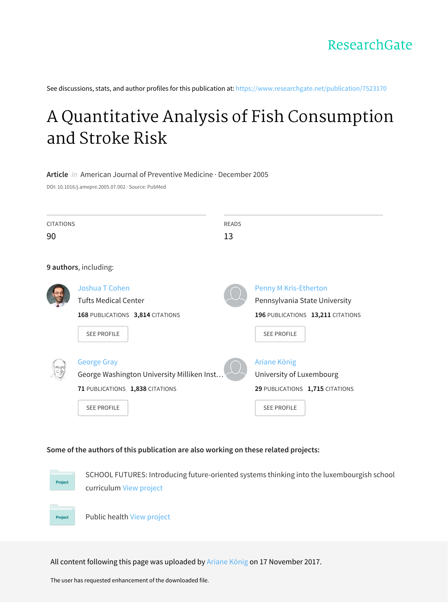See discussions, stats, and author profiles for this publication at: [https://www.researchgate.net/publication/7523170](https://www.researchgate.net/publication/7523170_A_Quantitative_Analysis_of_Fish_Consumption_and_Stroke_Risk?enrichId=rgreq-9ba91be03706e3c6587ddc8eac8af0f1-XXX&enrichSource=Y292ZXJQYWdlOzc1MjMxNzA7QVM6NTYxNTc5MDIxNzQ2MTc2QDE1MTA5MDIyODAyNDc%3D&el=1_x_2&_esc=publicationCoverPdf)

# A Quantitative Analysis of Fish [Consumption](https://www.researchgate.net/publication/7523170_A_Quantitative_Analysis_of_Fish_Consumption_and_Stroke_Risk?enrichId=rgreq-9ba91be03706e3c6587ddc8eac8af0f1-XXX&enrichSource=Y292ZXJQYWdlOzc1MjMxNzA7QVM6NTYxNTc5MDIxNzQ2MTc2QDE1MTA5MDIyODAyNDc%3D&el=1_x_3&_esc=publicationCoverPdf) and Stroke Risk

#### **Article** in American Journal of Preventive Medicine · December 2005

DOI: 10.1016/j.amepre.2005.07.002 · Source: PubMed

| <b>CITATIONS</b> |                                                                                                                           | <b>READS</b>                                                   |                                                                    |
|------------------|---------------------------------------------------------------------------------------------------------------------------|----------------------------------------------------------------|--------------------------------------------------------------------|
| 90               |                                                                                                                           | 13                                                             |                                                                    |
|                  | 9 authors, including:                                                                                                     |                                                                |                                                                    |
|                  | Joshua T Cohen<br><b>Tufts Medical Center</b><br>168 PUBLICATIONS 3,814 CITATIONS<br><b>SEE PROFILE</b>                   | <b>Penny M Kris-Etherton</b><br><b>SEE PROFILE</b>             | Pennsylvania State University<br>196 PUBLICATIONS 13,211 CITATIONS |
|                  | <b>George Gray</b><br>George Washington University Milliken Inst<br>71 PUBLICATIONS 1,838 CITATIONS<br><b>SEE PROFILE</b> | Ariane König<br>University of Luxembourg<br><b>SEE PROFILE</b> | 29 PUBLICATIONS 1,715 CITATIONS                                    |

# **Some of the authors of this publication are also working on these related projects:**



SCHOOL FUTURES: Introducing future-oriented systems thinking into the luxembourgish school curriculum View [project](https://www.researchgate.net/project/SCHOOL-FUTURES-Introducing-future-oriented-systems-thinking-into-the-luxembourgish-school-curriculum?enrichId=rgreq-9ba91be03706e3c6587ddc8eac8af0f1-XXX&enrichSource=Y292ZXJQYWdlOzc1MjMxNzA7QVM6NTYxNTc5MDIxNzQ2MTc2QDE1MTA5MDIyODAyNDc%3D&el=1_x_9&_esc=publicationCoverPdf)



Public health View [project](https://www.researchgate.net/project/Public-health-12?enrichId=rgreq-9ba91be03706e3c6587ddc8eac8af0f1-XXX&enrichSource=Y292ZXJQYWdlOzc1MjMxNzA7QVM6NTYxNTc5MDIxNzQ2MTc2QDE1MTA5MDIyODAyNDc%3D&el=1_x_9&_esc=publicationCoverPdf)

All content following this page was uploaded by [Ariane](https://www.researchgate.net/profile/Ariane_Koenig?enrichId=rgreq-9ba91be03706e3c6587ddc8eac8af0f1-XXX&enrichSource=Y292ZXJQYWdlOzc1MjMxNzA7QVM6NTYxNTc5MDIxNzQ2MTc2QDE1MTA5MDIyODAyNDc%3D&el=1_x_10&_esc=publicationCoverPdf) König on 17 November 2017.

The user has requested enhancement of the downloaded file.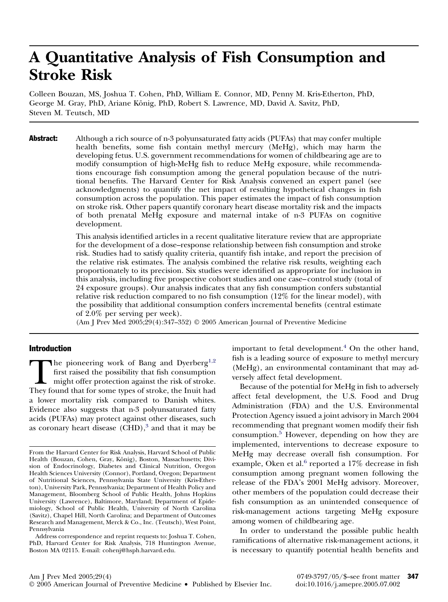# **A Quantitative Analysis of Fish Consumption and Stroke Risk**

Colleen Bouzan, MS, Joshua T. Cohen, PhD, William E. Connor, MD, Penny M. Kris-Etherton, PhD, George M. Gray, PhD, Ariane König, PhD, Robert S. Lawrence, MD, David A. Savitz, PhD, Steven M. Teutsch, MD

Abstract: Although a rich source of n-3 polyunsaturated fatty acids (PUFAs) that may confer multiple health benefits, some fish contain methyl mercury (MeHg), which may harm the developing fetus. U.S. government recommendations for women of childbearing age are to modify consumption of high-MeHg fish to reduce MeHg exposure, while recommendations encourage fish consumption among the general population because of the nutritional benefits. The Harvard Center for Risk Analysis convened an expert panel (see acknowledgments) to quantify the net impact of resulting hypothetical changes in fish consumption across the population. This paper estimates the impact of fish consumption on stroke risk. Other papers quantify coronary heart disease mortality risk and the impacts of both prenatal MeHg exposure and maternal intake of n-3 PUFAs on cognitive development.

> This analysis identified articles in a recent qualitative literature review that are appropriate for the development of a dose–response relationship between fish consumption and stroke risk. Studies had to satisfy quality criteria, quantify fish intake, and report the precision of the relative risk estimates. The analysis combined the relative risk results, weighting each proportionately to its precision. Six studies were identified as appropriate for inclusion in this analysis, including five prospective cohort studies and one case–control study (total of 24 exposure groups). Our analysis indicates that any fish consumption confers substantial relative risk reduction compared to no fish consumption (12% for the linear model), with the possibility that additional consumption confers incremental benefits (central estimate of 2.0% per serving per week).

(Am J Prev Med 2005;29(4):347–352) © 2005 American Journal of Preventive Medicine

### Introduction

The pioneering work of Bang and Dyerberg<sup>1,2</sup><br>first raised the possibility that fish consumption<br>might offer protection against the risk of stroke.<br>They found that for some types of stroke, the Inuit had first raised the possibility that fish consumption might offer protection against the risk of stroke. a lower mortality risk compared to Danish whites. Evidence also suggests that n-3 polyunsaturated fatty acids (PUFAs) may protect against other diseases, such as coronary heart disease  $(CHD)$ ,<sup>3</sup> and that it may be

important to fetal development. $4$  On the other hand, fish is a leading source of exposure to methyl mercury (MeHg), an environmental contaminant that may adversely affect fetal development.

Because of the potential for MeHg in fish to adversely affect fetal development, the U.S. Food and Drug Administration (FDA) and the U.S. Environmental Protection Agency issued a joint advisory in March 2004 recommending that pregnant women modify their fish consumption[.5](#page-5-0) However, depending on how they are implemented, interventions to decrease exposure to MeHg may decrease overall fish consumption. For example, Oken et al. $6$  reported a 17% decrease in fish consumption among pregnant women following the release of the FDA's 2001 MeHg advisory. Moreover, other members of the population could decrease their fish consumption as an unintended consequence of risk-management actions targeting MeHg exposure among women of childbearing age.

In order to understand the possible public health ramifications of alternative risk-management actions, it is necessary to quantify potential health benefits and

From the Harvard Center for Risk Analysis, Harvard School of Public Health (Bouzan, Cohen, Gray, König), Boston, Massachusetts; Division of Endocrinology, Diabetes and Clinical Nutrition, Oregon Health Sciences University (Connor), Portland, Oregon; Department of Nutritional Sciences, Pennsylvania State University (Kris-Etherton), University Park, Pennsylvania; Department of Health Policy and Management, Bloomberg School of Public Health, Johns Hopkins University (Lawrence), Baltimore, Maryland; Department of Epidemiology, School of Public Health, University of North Carolina (Savitz), Chapel Hill, North Carolina; and Department of Outcomes Research and Management, Merck & Co., Inc. (Teutsch), West Point, Pennsylvania

Address correspondence and reprint requests to: Joshua T. Cohen, PhD, Harvard Center for Risk Analysis, 718 Huntington Avenue, Boston MA 02115. E-mail: cohenj@hsph.harvard.edu.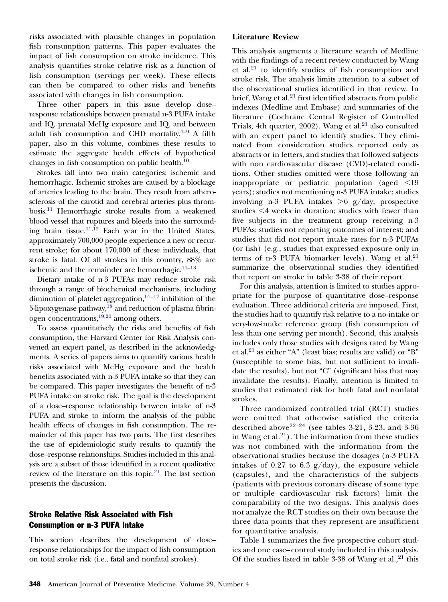risks associated with plausible changes in population fish consumption patterns. This paper evaluates the impact of fish consumption on stroke incidence. This analysis quantifies stroke relative risk as a function of fish consumption (servings per week). These effects can then be compared to other risks and benefits associated with changes in fish consumption.

Three other papers in this issue develop dose– response relationships between prenatal n-3 PUFA intake and IQ, prenatal MeHg exposure and IQ, and between adult fish consumption and CHD mortality.<sup>7-9</sup> A fifth paper, also in this volume, combines these results to estimate the aggregate health effects of hypothetical changes in fish consumption on public health. $10$ 

Strokes fall into two main categories: ischemic and hemorrhagic. Ischemic strokes are caused by a blockage of arteries leading to the brain. They result from atherosclerosis of the carotid and cerebral arteries plus thrombosis[.11](#page-6-0) Hemorrhagic stroke results from a weakened blood vessel that ruptures and bleeds into the surrounding brain tissue.<sup>11,12</sup> Each year in the United States, approximately 700,000 people experience a new or recurrent stroke; for about 170,000 of these individuals, that stroke is fatal. Of all strokes in this country, 88% are ischemic and the remainder are hemorrhagic. $11-13$ 

Dietary intake of n-3 PUFAs may reduce stroke risk through a range of biochemical mechanisms, including diminution of platelet aggregation, $14-17$  inhibition of the 5-lipoxygenase pathway,<sup>18</sup> and reduction of plasma fibrinogen concentrations[,19,20](#page-6-0) among others.

To assess quantitatively the risks and benefits of fish consumption, the Harvard Center for Risk Analysis convened an expert panel, as described in the acknowledgments. A series of papers aims to quantify various health risks associated with MeHg exposure and the health benefits associated with n-3 PUFA intake so that they can be compared. This paper investigates the benefit of n-3 PUFA intake on stroke risk. The goal is the development of a dose–response relationship between intake of n-3 PUFA and stroke to inform the analysis of the public health effects of changes in fish consumption. The remainder of this paper has two parts. The first describes the use of epidemiologic study results to quantify the dose–response relationships. Studies included in this analysis are a subset of those identified in a recent qualitative review of the literature on this topic.<sup>21</sup> The last section presents the discussion.

# Stroke Relative Risk Associated with Fish Consumption or n-3 PUFA Intake

This section describes the development of dose– response relationships for the impact of fish consumption on total stroke risk (i.e., fatal and nonfatal strokes).

# **Literature Review**

This analysis augments a literature search of Medline with the findings of a recent review conducted by Wang et al. $21$  to identify studies of fish consumption and stroke risk. The analysis limits attention to a subset of the observational studies identified in that review. In brief, Wang et al. $21$  first identified abstracts from public indexes (Medline and Embase) and summaries of the literature (Cochrane Central Register of Controlled Trials, 4th quarter,  $2002$ ). Wang et al.<sup>21</sup> also consulted with an expert panel to identify studies. They eliminated from consideration studies reported only as abstracts or in letters, and studies that followed subjects with non cardiovascular disease (CVD)-related conditions. Other studies omitted were those following an inappropriate or pediatric population (aged  $\leq 19$ years); studies not mentioning n-3 PUFA intake; studies involving n-3 PUFA intakes >6 g/day; prospective studies  $\leq 4$  weeks in duration; studies with fewer than five subjects in the treatment group receiving n-3 PUFAs; studies not reporting outcomes of interest; and studies that did not report intake rates for n-3 PUFAs (or fish) (e.g., studies that expressed exposure only in terms of n-3 PUFA biomarker levels). Wang et al. $21$ summarize the observational studies they identified that report on stroke in table 3-38 of their report.

For this analysis, attention is limited to studies appropriate for the purpose of quantitative dose–response evaluation. Three additional criteria are imposed. First, the studies had to quantify risk relative to a no-intake or very-low-intake reference group (fish consumption of less than one serving per month). Second, this analysis includes only those studies with designs rated by Wang et al[.21](#page-6-0) as either "A" (least bias; results are valid) or "B" (susceptible to some bias, but not sufficient to invalidate the results), but not "C" (significant bias that may invalidate the results). Finally, attention is limited to studies that estimated risk for both fatal and nonfatal strokes.

Three randomized controlled trial (RCT) studies were omitted that otherwise satisfied the criteria described above<sup>[22–24](#page-6-0)</sup> (see tables 3-21, 3-23, and 3-36 in Wang et al. $21$ ). The information from these studies was not combined with the information from the observational studies because the dosages (n-3 PUFA intakes of 0.27 to 6.3  $g/day$ , the exposure vehicle (capsules), and the characteristics of the subjects (patients with previous coronary disease of some type or multiple cardiovascular risk factors) limit the comparability of the two designs. This analysis does not analyze the RCT studies on their own because the three data points that they represent are insufficient for quantitative analysis.

[Table 1](#page-3-0) summarizes the five prospective cohort studies and one case–control study included in this analysis. Of the studies listed in table 3-38 of Wang et al.,  $21$  this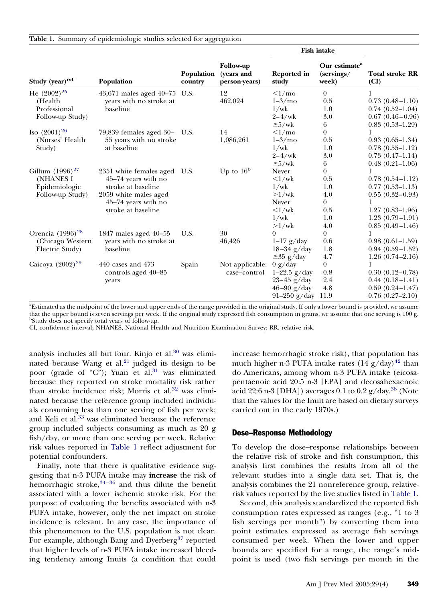<span id="page-3-0"></span>

|  |  |  |  |  |  |  |  |  | Table 1. Summary of epidemiologic studies selected for aggregation |
|--|--|--|--|--|--|--|--|--|--------------------------------------------------------------------|
|--|--|--|--|--|--|--|--|--|--------------------------------------------------------------------|

|                              |                                          |                       |                                                 | <b>Fish intake</b>     |                                                  |                                |
|------------------------------|------------------------------------------|-----------------------|-------------------------------------------------|------------------------|--------------------------------------------------|--------------------------------|
| Study (year) <sup>ref</sup>  | Population                               | Population<br>country | <b>Follow-up</b><br>(years and<br>person-years) | Reported in<br>study   | Our estimate <sup>a</sup><br>(servings/<br>week) | <b>Total stroke RR</b><br>(CI) |
| He $(2002)^{25}$             | 43,671 males aged 40-75 U.S.             |                       | 12                                              | $\leq l$ /mo           | $\overline{0}$                                   |                                |
| (Health                      | years with no stroke at                  |                       | 462,024                                         | $1-3/mo$               | 0.5                                              | $0.73(0.48 - 1.10)$            |
| Professional                 | baseline                                 |                       |                                                 | 1/wk                   | 1.0                                              | $0.74(0.52 - 1.04)$            |
| Follow-up Study)             |                                          |                       |                                                 | $2-4/wk$               | 3.0                                              | $0.67(0.46 - 0.96)$            |
|                              |                                          |                       |                                                 | $\geq 5$ /wk           | 6                                                | $0.83(0.53 - 1.29)$            |
| Iso $(2001)^{26}$            | $79,839$ females aged $30-$              | U.S.                  | 14                                              | $\langle 1/mo \rangle$ | $\overline{0}$                                   | 1                              |
| (Nurses' Health)             | 55 years with no stroke                  |                       | 1,086,261                                       | $1-3$ /mo              | 0.5                                              | $0.93(0.65 - 1.34)$            |
| Study)                       | at baseline                              |                       |                                                 | 1/wk                   | 1.0                                              | $0.78(0.55 - 1.12)$            |
|                              |                                          |                       |                                                 | $2-4/wk$               | 3.0                                              | $0.73(0.47-1.14)$              |
|                              |                                          |                       |                                                 | $\geq 5$ /wk           | 6                                                | $0.48(0.21-1.06)$              |
| Gillum $(1996)^{27}$         | 2351 white females aged                  | U.S.                  | Up to $16b$                                     | Never                  | $\overline{0}$                                   | 1                              |
| (NHANES I                    | 45-74 years with no                      |                       |                                                 | $\langle 1/wk \rangle$ | 0.5                                              | $0.78(0.54 - 1.12)$            |
| Epidemiologic                | stroke at baseline                       |                       |                                                 | 1/wk                   | 1.0                                              | $0.77(0.53 - 1.13)$            |
| Follow-up Study)             | 2059 white males aged                    |                       |                                                 | $>1$ /wk               | 4.0                                              | $0.55(0.32-0.93)$              |
|                              | 45-74 years with no                      |                       |                                                 | <b>Never</b>           | $\overline{0}$                                   | 1                              |
|                              | stroke at baseline                       |                       |                                                 | $\langle 1/wk \rangle$ | 0.5                                              | $1.27(0.83 - 1.96)$            |
|                              |                                          |                       |                                                 | 1/wk                   | 1.0                                              | $1.23(0.79-1.91)$              |
|                              |                                          |                       |                                                 | $>1$ /wk               | 4.0                                              | $0.85(0.49-1.46)$              |
| Orencia (1996) <sup>28</sup> | 1847 males aged 40-55                    | U.S.                  | 30                                              | $\Omega$               | $\overline{0}$                                   |                                |
| (Chicago Western)            | years with no stroke at                  |                       | 46,426                                          | $1-17$ g/day           | 0.6                                              | $0.98(0.61-1.59)$              |
| Electric Study)              | baseline                                 |                       |                                                 | $18-34$ g/day          | 1.8                                              | $0.94(0.59-1.52)$              |
|                              |                                          |                       |                                                 | $\geq$ 35 g/day        | 4.7                                              | $1.26(0.74 - 2.16)$            |
| Caicoya $(2002)^{29}$        | 440 cases and 473<br>controls aged 40–85 | Spain                 | Not applicable:<br>case-control                 | 0 g/day                | $\boldsymbol{0}$                                 | 1                              |
|                              |                                          |                       |                                                 | $1 - 22.5$ g/day       | 0.8                                              | $0.30(0.12-0.78)$              |
|                              | years                                    |                       |                                                 | $23-45$ g/day          | 2.4                                              | $0.44(0.18 - 1.41)$            |
|                              |                                          |                       |                                                 | $46-90$ g/day          | 4.8                                              | $0.59(0.24 - 1.47)$            |
|                              |                                          |                       |                                                 | 91-250 $g/day$         | 11.9                                             | $0.76(0.27 - 2.10)$            |

a Estimated as the midpoint of the lower and upper ends of the range provided in the original study. If only a lower bound is provided, we assume that the upper bound is seven servings per week. If the original study expressed fish consumption in grams, we assume that one serving is 100 g. b Study does not specify total years of follow-up.

CI, confidence interval; NHANES, National Health and Nutrition Examination Survey; RR, relative risk.

analysis includes all but four. Kinjo et al.<sup>30</sup> was eliminated because Wang et al.<sup>21</sup> judged its design to be poor (grade of "C"); Yuan et al.<sup>[31](#page-6-0)</sup> was eliminated because they reported on stroke mortality risk rather than stroke incidence risk; Morris et al.<sup>32</sup> was eliminated because the reference group included individuals consuming less than one serving of fish per week; and Keli et al.<sup>33</sup> was eliminated because the reference group included subjects consuming as much as 20 g fish/day, or more than one serving per week. Relative risk values reported in Table 1 reflect adjustment for potential confounders.

Finally, note that there is qualitative evidence suggesting that n-3 PUFA intake may **increase** the risk of hemorrhagic stroke, $34-36$  and thus dilute the benefit associated with a lower ischemic stroke risk. For the purpose of evaluating the benefits associated with n-3 PUFA intake, however, only the net impact on stroke incidence is relevant. In any case, the importance of this phenomenon to the U.S. population is not clear. For example, although Bang and Dyerberg<sup>37</sup> reported that higher levels of n-3 PUFA intake increased bleeding tendency among Inuits (a condition that could

increase hemorrhagic stroke risk), that population has much higher n-3 PUFA intake rates  $(14 \text{ g}/\text{day})^{42}$  than do Americans, among whom n-3 PUFA intake (eicosapentaenoic acid 20:5 n-3 [EPA] and decosahexaenoic acid 22:6 n-3 [DHA]) averages 0.1 to 0.2  $g/day.<sup>38</sup>$  (Note that the values for the Inuit are based on dietary surveys carried out in the early 1970s.)

#### Dose–Response Methodology

To develop the dose–response relationships between the relative risk of stroke and fish consumption, this analysis first combines the results from all of the relevant studies into a single data set. That is, the analysis combines the 21 nonreference group, relativerisk values reported by the five studies listed in Table 1.

Second, this analysis standardized the reported fish consumption rates expressed as ranges (e.g., "1 to 3 fish servings per month") by converting them into point estimates expressed as average fish servings consumed per week. When the lower and upper bounds are specified for a range, the range's midpoint is used (two fish servings per month in the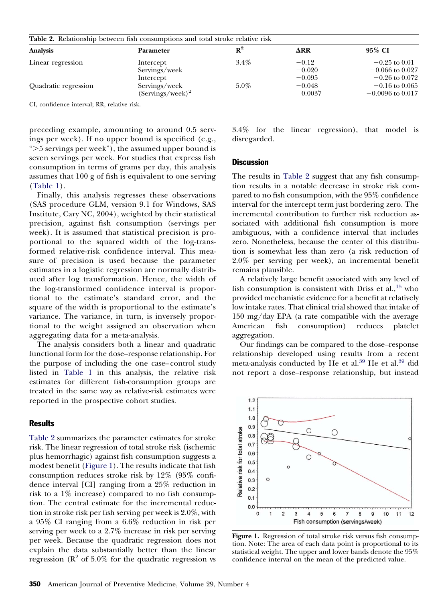| <b>Table 2.</b> Relationship between fish consumptions and total stroke relative risk |                     |         |             |                     |  |  |
|---------------------------------------------------------------------------------------|---------------------|---------|-------------|---------------------|--|--|
| <b>Analysis</b>                                                                       | <b>Parameter</b>    | $R^2$   | $\Delta$ RR | 95% CI              |  |  |
| Linear regression                                                                     | Intercept           | $3.4\%$ | $-0.12$     | $-0.25$ to 0.01     |  |  |
|                                                                                       | Servings/week       |         | $-0.020$    | $-0.066$ to $0.027$ |  |  |
|                                                                                       | Intercept           |         | $-0.095$    | $-0.26$ to 0.072    |  |  |
| Quadratic regression                                                                  | Servings/week       | $5.0\%$ | $-0.048$    | $-0.16$ to 0.065    |  |  |
|                                                                                       | $(Servings/week)^2$ |         | 0.0037      | $-0.0096$ to 0.017  |  |  |

CI, confidence interval; RR, relative risk.

preceding example, amounting to around 0.5 servings per week). If no upper bound is specified (e.g., "-5 servings per week"), the assumed upper bound is seven servings per week. For studies that express fish consumption in terms of grams per day, this analysis assumes that 100 g of fish is equivalent to one serving [\(Table 1\)](#page-3-0).

Finally, this analysis regresses these observations (SAS procedure GLM, version 9.1 for Windows, SAS Institute, Cary NC, 2004), weighted by their statistical precision, against fish consumption (servings per week). It is assumed that statistical precision is proportional to the squared width of the log-transformed relative-risk confidence interval. This measure of precision is used because the parameter estimates in a logistic regression are normally distributed after log transformation. Hence, the width of the log-transformed confidence interval is proportional to the estimate's standard error, and the square of the width is proportional to the estimate's variance. The variance, in turn, is inversely proportional to the weight assigned an observation when aggregating data for a meta-analysis.

The analysis considers both a linear and quadratic functional form for the dose–response relationship. For the purpose of including the one case–control study listed in [Table 1](#page-3-0) in this analysis, the relative risk estimates for different fish-consumption groups are treated in the same way as relative-risk estimates were reported in the prospective cohort studies.

# **Results**

Table 2 summarizes the parameter estimates for stroke risk. The linear regression of total stroke risk (ischemic plus hemorrhagic) against fish consumption suggests a modest benefit (Figure 1). The results indicate that fish consumption reduces stroke risk by 12% (95% confidence interval [CI] ranging from a 25% reduction in risk to a 1% increase) compared to no fish consumption. The central estimate for the incremental reduction in stroke risk per fish serving per week is 2.0%, with a 95% CI ranging from a 6.6% reduction in risk per serving per week to a 2.7% increase in risk per serving per week. Because the quadratic regression does not explain the data substantially better than the linear regression ( $\mathbb{R}^2$  of 5.0% for the quadratic regression vs

3.4% for the linear regression), that model is disregarded.

### **Discussion**

The results in Table 2 suggest that any fish consumption results in a notable decrease in stroke risk compared to no fish consumption, with the 95% confidence interval for the intercept term just bordering zero. The incremental contribution to further risk reduction associated with additional fish consumption is more ambiguous, with a confidence interval that includes zero. Nonetheless, because the center of this distribution is somewhat less than zero (a risk reduction of 2.0% per serving per week), an incremental benefit remains plausible.

A relatively large benefit associated with any level of fish consumption is consistent with Driss et al.,  $^{15}$  who provided mechanistic evidence for a benefit at relatively low intake rates. That clinical trial showed that intake of 150 mg/day EPA (a rate compatible with the average American fish consumption) reduces platelet aggregation.

Our findings can be compared to the dose–response relationship developed using results from a recent meta-analysis conducted by He et al.<sup>39</sup> He et al.<sup>39</sup> did not report a dose–response relationship, but instead



**Figure 1.** Regression of total stroke risk versus fish consumption. Note: The area of each data point is proportional to its statistical weight. The upper and lower bands denote the 95% confidence interval on the mean of the predicted value.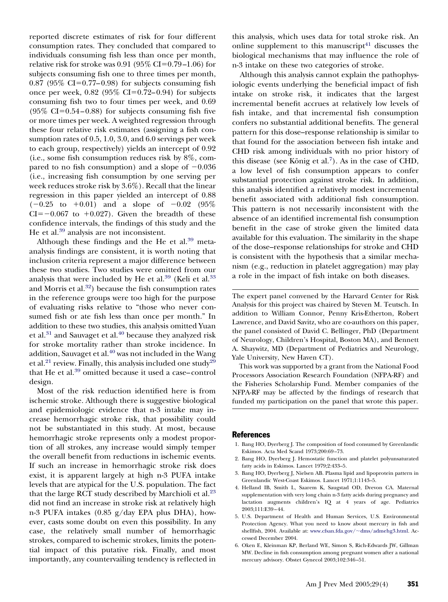<span id="page-5-0"></span>reported discrete estimates of risk for four different consumption rates. They concluded that compared to individuals consuming fish less than once per month, relative risk for stroke was 0.91 (95% CI=0.79–1.06) for subjects consuming fish one to three times per month,  $0.87$  (95% CI=0.77–0.98) for subjects consuming fish once per week,  $0.82$  ( $95\%$  CI=0.72–0.94) for subjects consuming fish two to four times per week, and 0.69  $(95\% \text{ CI} = 0.54 - 0.88)$  for subjects consuming fish five or more times per week. A weighted regression through these four relative risk estimates (assigning a fish consumption rates of 0.5, 1.0, 3.0, and 6.0 servings per week to each group, respectively) yields an intercept of 0.92 (i.e., some fish consumption reduces risk by 8%, compared to no fish consumption) and a slope of  $-0.036$ (i.e., increasing fish consumption by one serving per week reduces stroke risk by 3.6%). Recall that the linear regression in this paper yielded an intercept of 0.88  $(-0.25 \text{ to } +0.01)$  and a slope of  $-0.02 \text{ (95\%)}$  $CI = -0.067$  to  $+0.027$ ). Given the breadth of these confidence intervals, the findings of this study and the He et al.<sup>[39](#page-6-0)</sup> analysis are not inconsistent.

Although these findings and the He et al.<sup>39</sup> metaanalysis findings are consistent, it is worth noting that inclusion criteria represent a major difference between these two studies. Two studies were omitted from our analysis that were included by He et al. $39$  (Keli et al. $33$ ) and Morris et al.<sup>32</sup>) because the fish consumption rates in the reference groups were too high for the purpose of evaluating risks relative to "those who never consumed fish or ate fish less than once per month." In addition to these two studies, this analysis omitted Yuan et al. $31$  and Sauvaget et al. $40$  because they analyzed risk for stroke mortality rather than stroke incidence. In addition, Sauvaget et al.<sup>40</sup> was not included in the Wang et al.<sup>21</sup> review. Finally, this analysis included one study<sup>29</sup> that He et al.<sup>39</sup> omitted because it used a case–control design.

Most of the risk reduction identified here is from ischemic stroke. Although there is suggestive biological and epidemiologic evidence that n-3 intake may increase hemorrhagic stroke risk, that possibility could not be substantiated in this study. At most, because hemorrhagic stroke represents only a modest proportion of all strokes, any increase would simply temper the overall benefit from reductions in ischemic events. If such an increase in hemorrhagic stroke risk does exist, it is apparent largely at high n-3 PUFA intake levels that are atypical for the U.S. population. The fact that the large RCT study described by Marchioli et al. $^{23}$ did not find an increase in stroke risk at relatively high n-3 PUFA intakes (0.85 g/day EPA plus DHA), however, casts some doubt on even this possibility. In any case, the relatively small number of hemorrhagic strokes, compared to ischemic strokes, limits the potential impact of this putative risk. Finally, and most importantly, any countervailing tendency is reflected in

this analysis, which uses data for total stroke risk. An online supplement to this manuscript $41$  discusses the biological mechanisms that may influence the role of n-3 intake on these two categories of stroke.

Although this analysis cannot explain the pathophysiologic events underlying the beneficial impact of fish intake on stroke risk, it indicates that the largest incremental benefit accrues at relatively low levels of fish intake, and that incremental fish consumption confers no substantial additional benefits. The general pattern for this dose–response relationship is similar to that found for the association between fish intake and CHD risk among individuals with no prior history of this disease (see König et al.<sup>7</sup>). As in the case of CHD, a low level of fish consumption appears to confer substantial protection against stroke risk. In addition, this analysis identified a relatively modest incremental benefit associated with additional fish consumption. This pattern is not necessarily inconsistent with the absence of an identified incremental fish consumption benefit in the case of stroke given the limited data available for this evaluation. The similarity in the shape of the dose–response relationships for stroke and CHD is consistent with the hypothesis that a similar mechanism (e.g., reduction in platelet aggregation) may play a role in the impact of fish intake on both diseases.

The expert panel convened by the Harvard Center for Risk Analysis for this project was chaired by Steven M. Teutsch. In addition to William Connor, Penny Kris-Etherton, Robert Lawrence, and David Savitz, who are co-authors on this paper, the panel consisted of David C. Bellinger, PhD (Department of Neurology, Children's Hospital, Boston MA), and Bennett A. Shaywitz, MD (Department of Pediatrics and Neurology, Yale University, New Haven CT).

This work was supported by a grant from the National Food Processors Association Research Foundation (NFPA-RF) and the Fisheries Scholarship Fund. Member companies of the NFPA-RF may be affected by the findings of research that funded my participation on the panel that wrote this paper.

#### References

- 1. Bang HO, Dyerberg J. The composition of food consumed by Greenlandic Eskimos. Acta Med Scand 1973;200:69–73.
- 2. Bang HO, Dyerberg J. Hemostatic function and platelet polyunsaturated fatty acids in Eskimos. Lancet 1979;2:433–5.
- 3. Bang HO, Dyerberg J, Nielsen AB. Plasma lipid and lipoprotein pattern in Greenlandic West-Coast Eskimos. Lancet 1971;1:1143–5.
- 4. Helland IB, Smith L, Saarem K, Saugstad OD, Drevon CA. Maternal supplementation with very long chain n-3 fatty acids during pregnancy and lactation augments children's IQ at 4 years of age. Pediatrics 2003;111:E39–44.
- 5. U.S. Department of Health and Human Services, U.S. Environmental Protection Agency. What you need to know about mercury in fish and shellfish, 2004. Available at: www.cfsan.fda.gov/~[dms/admehg3.html.](http://www.cfsan.fda.gov/dms/admehg3.html) Accessed December 2004.
- 6. Oken E, Kleinman KP, Berland WE, Simon S, Rich-Edwards JW, Gillman MW. Decline in fish consumption among pregnant women after a national mercury advisory. Obstet Gynecol 2003;102:346–51.